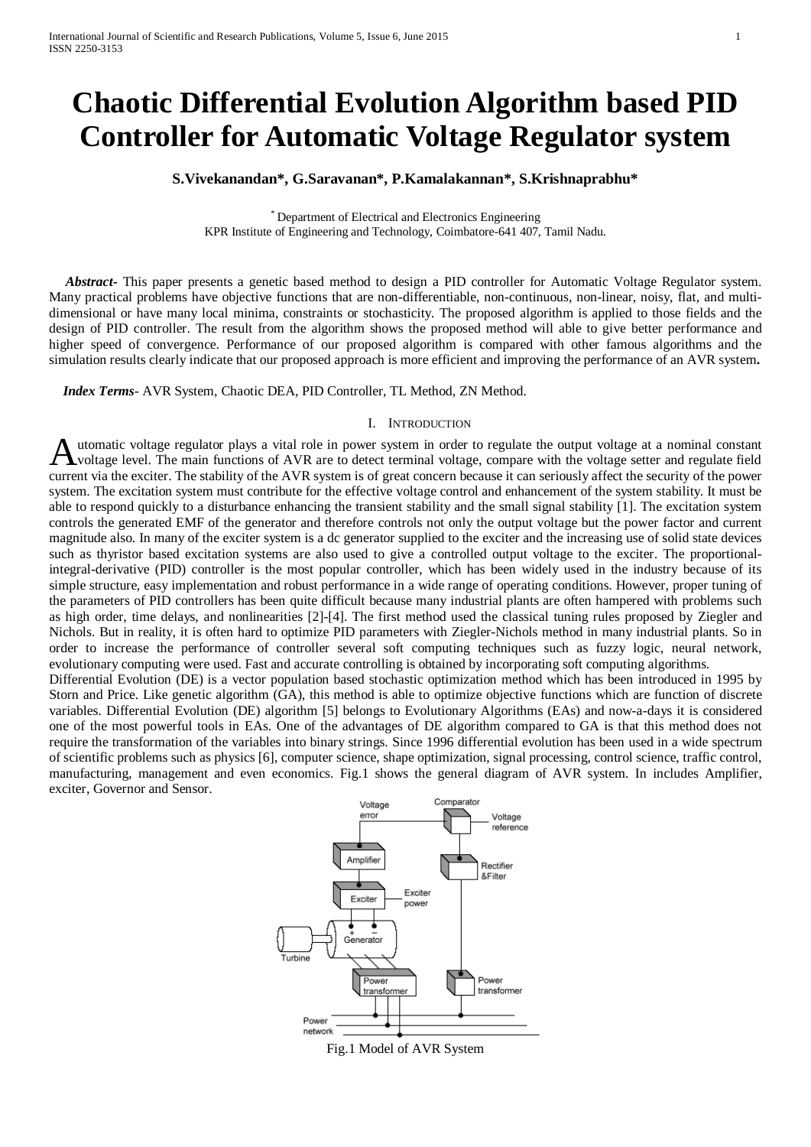# **Chaotic Differential Evolution Algorithm based PID Controller for Automatic Voltage Regulator system**

# **S.Vivekanandan\*, G.Saravanan\*, P.Kamalakannan\*, S.Krishnaprabhu\***

\* Department of Electrical and Electronics Engineering KPR Institute of Engineering and Technology, Coimbatore-641 407, Tamil Nadu.

 *Abstract***-** This paper presents a genetic based method to design a PID controller for Automatic Voltage Regulator system. Many practical problems have objective functions that are non-differentiable, non-continuous, non-linear, noisy, flat, and multidimensional or have many local minima, constraints or stochasticity. The proposed algorithm is applied to those fields and the design of PID controller. The result from the algorithm shows the proposed method will able to give better performance and higher speed of convergence. Performance of our proposed algorithm is compared with other famous algorithms and the simulation results clearly indicate that our proposed approach is more efficient and improving the performance of an AVR system**.**

 *Index Terms*- AVR System, Chaotic DEA, PID Controller, TL Method, ZN Method.

# I. INTRODUCTION

utomatic voltage regulator plays a vital role in power system in order to regulate the output voltage at a nominal constant voltage level. The main functions of AVR are to detect terminal voltage, compare with the voltage setter and regulate field Automatic voltage regulator plays a vital role in power system in order to regulate the output voltage at a nominal constant voltage level. The main functions of AVR are to detect terminal voltage, compare with the voltage system. The excitation system must contribute for the effective voltage control and enhancement of the system stability. It must be able to respond quickly to a disturbance enhancing the transient stability and the small signal stability [1]. The excitation system controls the generated EMF of the generator and therefore controls not only the output voltage but the power factor and current magnitude also. In many of the exciter system is a dc generator supplied to the exciter and the increasing use of solid state devices such as thyristor based excitation systems are also used to give a controlled output voltage to the exciter. The proportionalintegral-derivative (PID) controller is the most popular controller, which has been widely used in the industry because of its simple structure, easy implementation and robust performance in a wide range of operating conditions. However, proper tuning of the parameters of PID controllers has been quite difficult because many industrial plants are often hampered with problems such as high order, time delays, and nonlinearities [2]-[4]. The first method used the classical tuning rules proposed by Ziegler and Nichols. But in reality, it is often hard to optimize PID parameters with Ziegler-Nichols method in many industrial plants. So in order to increase the performance of controller several soft computing techniques such as fuzzy logic, neural network, evolutionary computing were used. Fast and accurate controlling is obtained by incorporating soft computing algorithms.

Differential Evolution (DE) is a vector population based stochastic optimization method which has been introduced in 1995 by Storn and Price. Like genetic algorithm (GA), this method is able to optimize objective functions which are function of discrete variables. Differential Evolution (DE) algorithm [5] belongs to Evolutionary Algorithms (EAs) and now-a-days it is considered one of the most powerful tools in EAs. One of the advantages of DE algorithm compared to GA is that this method does not require the transformation of the variables into binary strings. Since 1996 differential evolution has been used in a wide spectrum of scientific problems such as physics [6], computer science, shape optimization, signal processing, control science, traffic control, manufacturing, management and even economics. Fig.1 shows the general diagram of AVR system. In includes Amplifier, exciter, Governor and Sensor.



Fig.1 Model of AVR System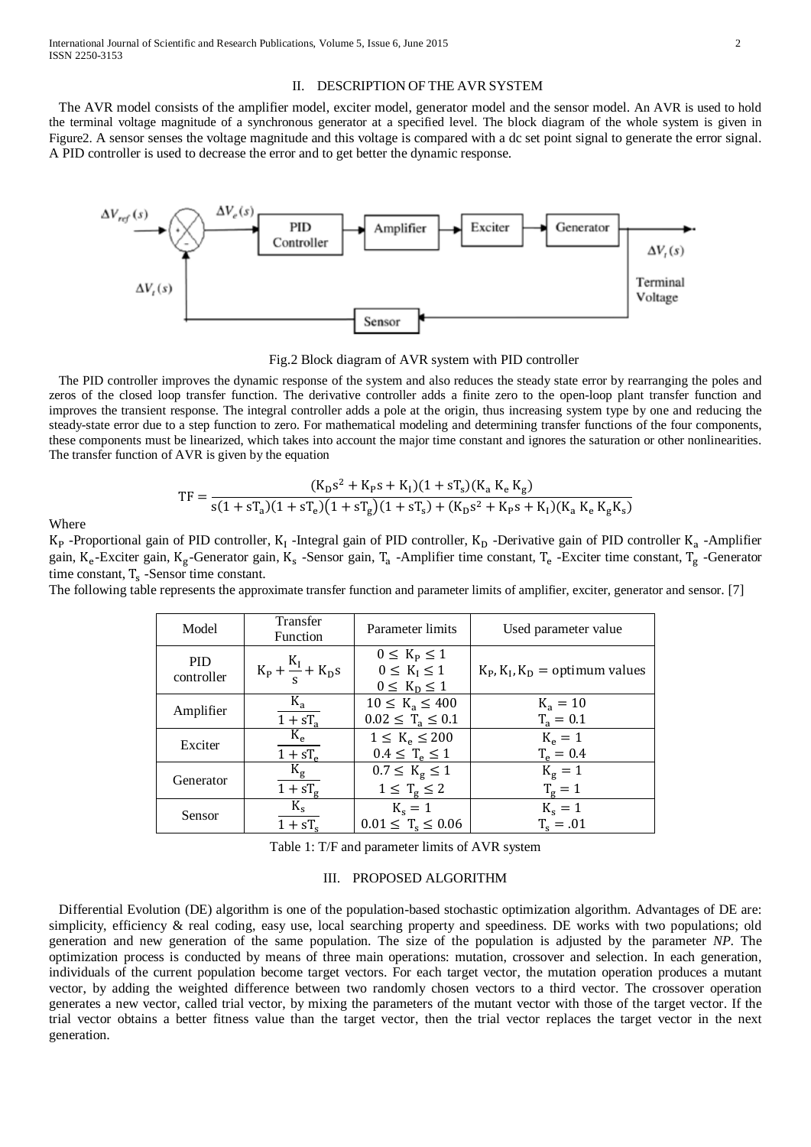# II. DESCRIPTION OF THE AVR SYSTEM

 The AVR model consists of the amplifier model, exciter model, generator model and the sensor model. An AVR is used to hold the terminal voltage magnitude of a synchronous generator at a specified level. The block diagram of the whole system is given in Figure2. A sensor senses the voltage magnitude and this voltage is compared with a dc set point signal to generate the error signal. A PID controller is used to decrease the error and to get better the dynamic response.



Fig.2 Block diagram of AVR system with PID controller

 The PID controller improves the dynamic response of the system and also reduces the steady state error by rearranging the poles and zeros of the closed loop transfer function. The derivative controller adds a finite zero to the open-loop plant transfer function and improves the transient response. The integral controller adds a pole at the origin, thus increasing system type by one and reducing the steady-state error due to a step function to zero. For mathematical modeling and determining transfer functions of the four components, these components must be linearized, which takes into account the major time constant and ignores the saturation or other nonlinearities. The transfer function of AVR is given by the equation

$$
TF = \frac{(K_{D}s^{2} + K_{P}s + K_{I})(1 + sT_{s})(K_{a} K_{e} K_{g})}{s(1 + sT_{a})(1 + sT_{e})(1 + sT_{g})(1 + sT_{s}) + (K_{D}s^{2} + K_{P}s + K_{I})(K_{a} K_{e} K_{g} K_{s})}
$$

Where

 $K_P$  -Proportional gain of PID controller,  $K_I$  -Integral gain of PID controller,  $K_D$  -Derivative gain of PID controller  $K_a$  -Amplifier gain, K<sub>e</sub>-Exciter gain, K<sub>g</sub>-Generator gain, K<sub>s</sub>-Sensor gain, T<sub>a</sub>-Amplifier time constant, T<sub>e</sub>-Exciter time constant, T<sub>g</sub>-Generator time constant,  $T_s$  -Sensor time constant.

The following table represents the approximate transfer function and parameter limits of amplifier, exciter, generator and sensor. [7]

| Model                    | Transfer<br><b>Function</b>        | Parameter limits                                                        | Used parameter value                         |  |
|--------------------------|------------------------------------|-------------------------------------------------------------------------|----------------------------------------------|--|
| <b>PID</b><br>controller | $K_{P} + \frac{K_{I}}{s} + K_{D}s$ | $0 \leq K_{\rm P} \leq 1$<br>$0 \leq K_I \leq 1$<br>$0 \leq K_D \leq 1$ | $K_{P}$ , $K_{I}$ , $K_{D}$ = optimum values |  |
| Amplifier                | $K_a$                              | $10 \le K_a \le 400$                                                    | $K_a = 10$                                   |  |
|                          | $1 + sT_a$                         | $0.02 \leq T_a \leq 0.1$                                                | $T_a = 0.1$                                  |  |
| Exciter                  | $K_e$                              | $1 \le K_e \le 200$                                                     | $K_e = 1$                                    |  |
|                          | $1 + sT_e$                         | $0.4 \leq T_e \leq 1$                                                   | $T_e = 0.4$                                  |  |
| Generator                | $K_{\rm g}$                        | $0.7 \le K_{\rm g} \le 1$                                               | $K_g = 1$                                    |  |
|                          | $1 + sT_g$                         | $1 \leq T_{\rm g} \leq 2$                                               | $T_g = 1$                                    |  |
| Sensor                   | $K_{s}$                            | $K_s = 1$                                                               | $K_s = 1$                                    |  |
|                          | $1 + sT_c$                         | $0.01 \leq T_s \leq 0.06$                                               | $T_s = .01$                                  |  |

Table 1: T/F and parameter limits of AVR system

#### III. PROPOSED ALGORITHM

 Differential Evolution (DE) algorithm is one of the population-based stochastic optimization algorithm. Advantages of DE are: simplicity, efficiency & real coding, easy use, local searching property and speediness. DE works with two populations; old generation and new generation of the same population. The size of the population is adjusted by the parameter *NP*. The optimization process is conducted by means of three main operations: mutation, crossover and selection. In each generation, individuals of the current population become target vectors. For each target vector, the mutation operation produces a mutant vector, by adding the weighted difference between two randomly chosen vectors to a third vector. The crossover operation generates a new vector, called trial vector, by mixing the parameters of the mutant vector with those of the target vector. If the trial vector obtains a better fitness value than the target vector, then the trial vector replaces the target vector in the next generation.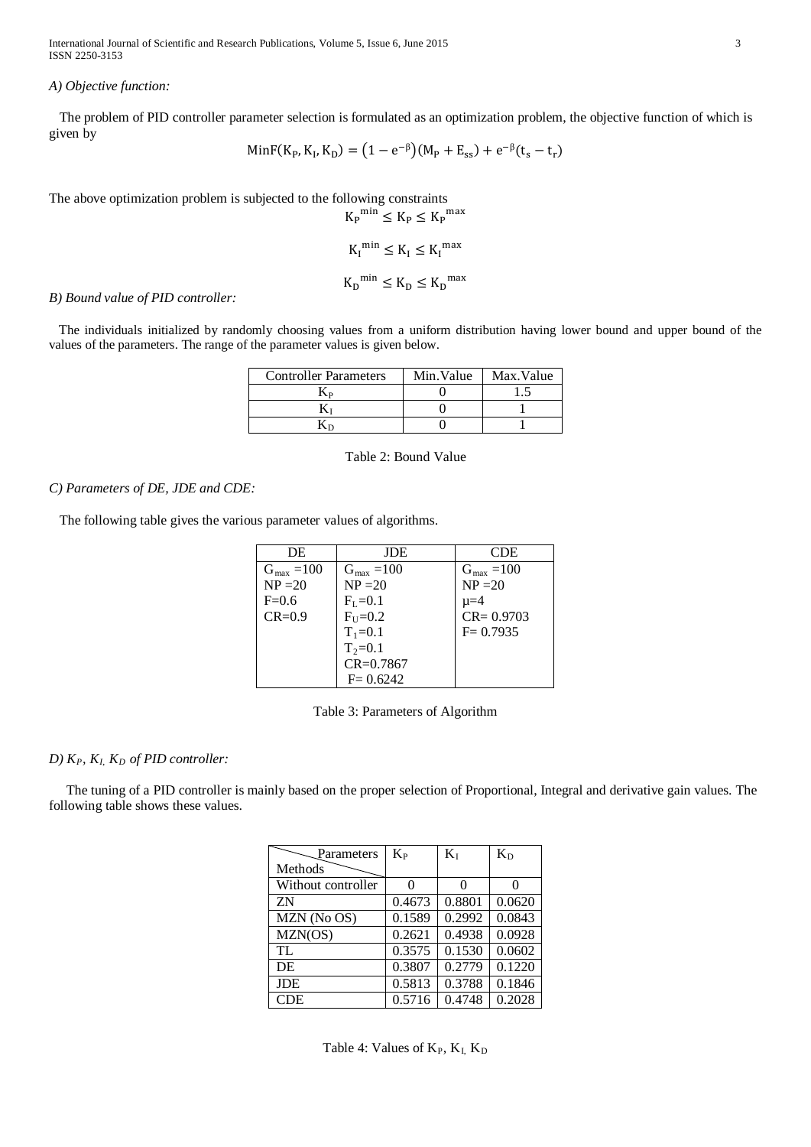International Journal of Scientific and Research Publications, Volume 5, Issue 6, June 2015 ISSN 2250-3153

#### *A) Objective function:*

 The problem of PID controller parameter selection is formulated as an optimization problem, the objective function of which is given by

MinF(K<sub>P</sub>, K<sub>1</sub>, K<sub>D</sub>) = (1 - e<sup>-
$$
\beta
$$</sup>)(M<sub>P</sub> + E<sub>ss</sub>) + e<sup>- $\beta$</sup> (t<sub>s</sub> - t<sub>r</sub>)

The above optimization problem is subjected to the following constraints

$$
K_{P}^{\min} \leq K_{P} \leq K_{P}^{\max}
$$
  

$$
K_{I}^{\min} \leq K_{I} \leq K_{I}^{\max}
$$
  

$$
K_{D}^{\min} \leq K_{D} \leq K_{D}^{\max}
$$

# *B) Bound value of PID controller:*

 The individuals initialized by randomly choosing values from a uniform distribution having lower bound and upper bound of the values of the parameters. The range of the parameter values is given below.

| <b>Controller Parameters</b> | Min.Value | Max. Value |
|------------------------------|-----------|------------|
|                              |           |            |
|                              |           |            |
|                              |           |            |

Table 2: Bound Value

# *C) Parameters of DE, JDE and CDE:*

The following table gives the various parameter values of algorithms.

| DE                     | JDE                    | CDE.                   |
|------------------------|------------------------|------------------------|
| $G_{\text{max}} = 100$ | $G_{\text{max}} = 100$ | $G_{\text{max}} = 100$ |
| $NP = 20$              | $NP = 20$              | $NP = 20$              |
| $F=0.6$                | $F_{I} = 0.1$          | $u=4$                  |
| $CR = 0.9$             | $FU=0.2$               | $CR = 0.9703$          |
|                        | $T_1 = 0.1$            | $F = 0.7935$           |
|                        | $T_2 = 0.1$            |                        |
|                        | $CR = 0.7867$          |                        |
|                        | $F = 0.6242$           |                        |

Table 3: Parameters of Algorithm

# $D)$   $K_P$ ,  $K_I$   $K_D$  *of PID controller:*

 The tuning of a PID controller is mainly based on the proper selection of Proportional, Integral and derivative gain values. The following table shows these values.

| Parameters         | $K_{P}$ | $K_I$  | $K_{D}$ |
|--------------------|---------|--------|---------|
| Methods            |         |        |         |
| Without controller |         | 0      | 0       |
| ΖN                 | 0.4673  | 0.8801 | 0.0620  |
| MZN (No OS)        | 0.1589  | 0.2992 | 0.0843  |
| MZN(OS)            | 0.2621  | 0.4938 | 0.0928  |
| TL                 | 0.3575  | 0.1530 | 0.0602  |
| <b>DE</b>          | 0.3807  | 0.2779 | 0.1220  |
| <b>JDE</b>         | 0.5813  | 0.3788 | 0.1846  |
| <b>CDE</b>         | 0.5716  | 0.4748 | 0.2028  |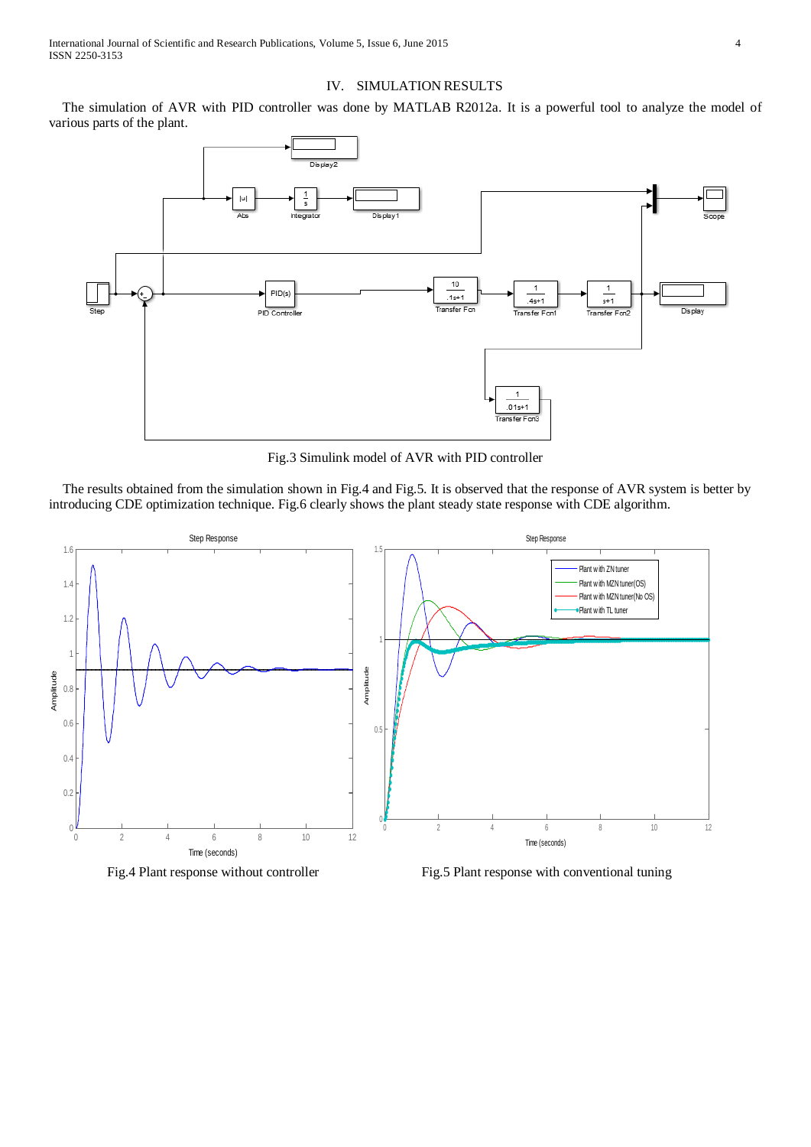# IV. SIMULATION RESULTS

 The simulation of AVR with PID controller was done by MATLAB R2012a. It is a powerful tool to analyze the model of various parts of the plant.



Fig.3 Simulink model of AVR with PID controller

 The results obtained from the simulation shown in Fig.4 and Fig.5. It is observed that the response of AVR system is better by introducing CDE optimization technique. Fig.6 clearly shows the plant steady state response with CDE algorithm.



Fig.4 Plant response without controller Fig.5 Plant response with conventional tuning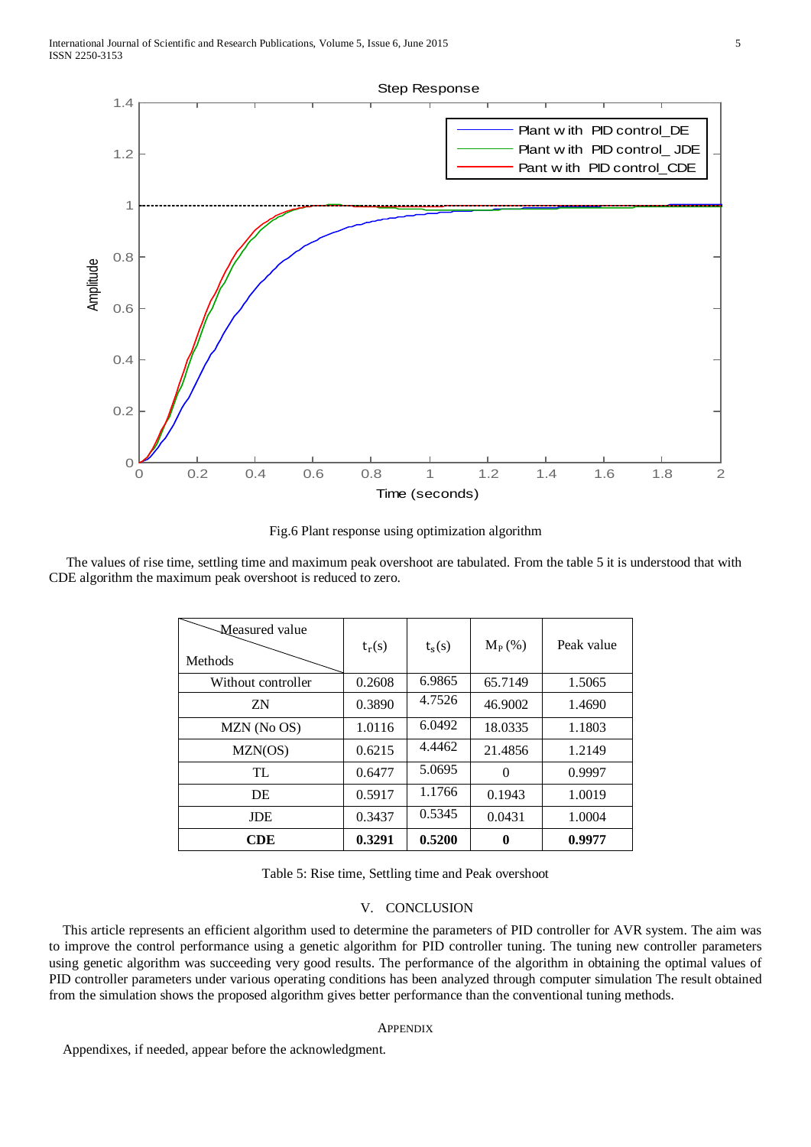

Fig.6 Plant response using optimization algorithm

 The values of rise time, settling time and maximum peak overshoot are tabulated. From the table 5 it is understood that with CDE algorithm the maximum peak overshoot is reduced to zero.

| Measured value<br>Methods | $t_r(s)$ | $t_s(s)$ | $M_P$ (%) | Peak value |
|---------------------------|----------|----------|-----------|------------|
| Without controller        | 0.2608   | 6.9865   | 65.7149   | 1.5065     |
| ZN                        | 0.3890   | 4.7526   | 46.9002   | 1.4690     |
| MZN (No OS)               | 1.0116   | 6.0492   | 18.0335   | 1.1803     |
| MZN(OS)                   | 0.6215   | 4.4462   | 21.4856   | 1.2149     |
| TL                        | 0.6477   | 5.0695   | $\theta$  | 0.9997     |
| DE                        | 0.5917   | 1.1766   | 0.1943    | 1.0019     |
| <b>JDE</b>                | 0.3437   | 0.5345   | 0.0431    | 1.0004     |
| <b>CDE</b>                | 0.3291   | 0.5200   | 0         | 0.9977     |

Table 5: Rise time, Settling time and Peak overshoot

# V. CONCLUSION

This article represents an efficient algorithm used to determine the parameters of PID controller for AVR system. The aim was to improve the control performance using a genetic algorithm for PID controller tuning. The tuning new controller parameters using genetic algorithm was succeeding very good results. The performance of the algorithm in obtaining the optimal values of PID controller parameters under various operating conditions has been analyzed through computer simulation The result obtained from the simulation shows the proposed algorithm gives better performance than the conventional tuning methods.

# **APPENDIX**

Appendixes, if needed, appear before the acknowledgment.